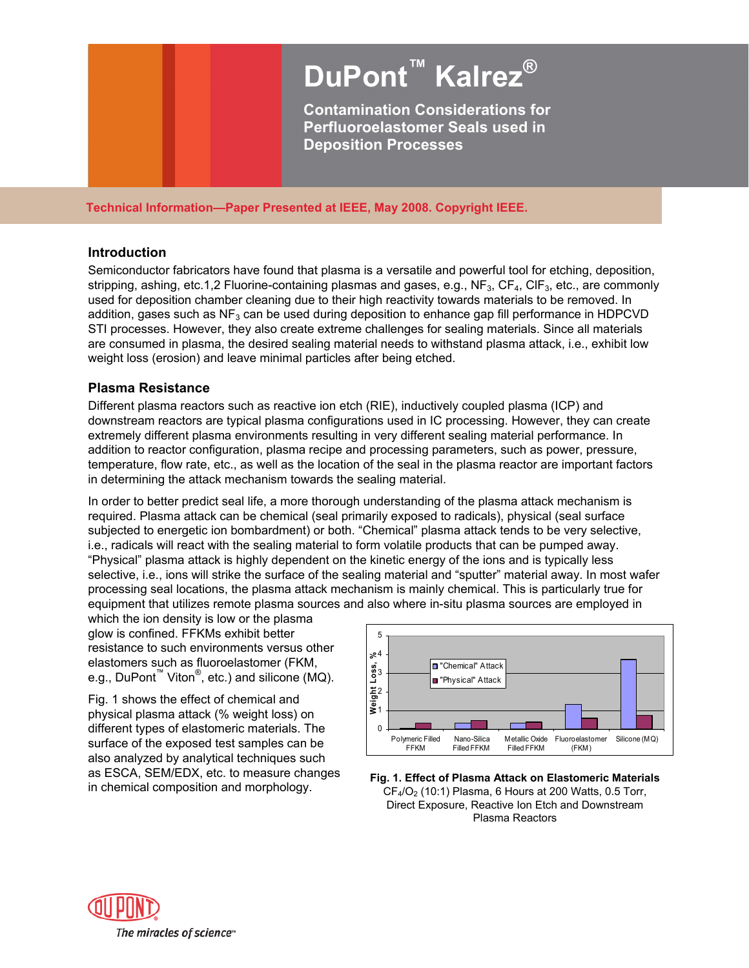# **DuPont™ Kalrez® Contamination Considerations for**

**Perfluoroelastomer Seals used in Deposition Processes** 

**Technical Information—Paper Presented at IEEE, May 2008. Copyright IEEE.** 

#### **Introduction**

Semiconductor fabricators have found that plasma is a versatile and powerful tool for etching, deposition, stripping, ashing, etc.1,2 Fluorine-containing plasmas and gases, e.g., NF<sub>3</sub>, CF<sub>4</sub>, ClF<sub>3</sub>, etc., are commonly used for deposition chamber cleaning due to their high reactivity towards materials to be removed. In addition, gases such as  $NF<sub>3</sub>$  can be used during deposition to enhance gap fill performance in HDPCVD STI processes. However, they also create extreme challenges for sealing materials. Since all materials are consumed in plasma, the desired sealing material needs to withstand plasma attack, i.e., exhibit low weight loss (erosion) and leave minimal particles after being etched.

## **Plasma Resistance**

Different plasma reactors such as reactive ion etch (RIE), inductively coupled plasma (ICP) and downstream reactors are typical plasma configurations used in IC processing. However, they can create extremely different plasma environments resulting in very different sealing material performance. In addition to reactor configuration, plasma recipe and processing parameters, such as power, pressure, temperature, flow rate, etc., as well as the location of the seal in the plasma reactor are important factors in determining the attack mechanism towards the sealing material.

In order to better predict seal life, a more thorough understanding of the plasma attack mechanism is required. Plasma attack can be chemical (seal primarily exposed to radicals), physical (seal surface subjected to energetic ion bombardment) or both. "Chemical" plasma attack tends to be very selective, i.e., radicals will react with the sealing material to form volatile products that can be pumped away. "Physical" plasma attack is highly dependent on the kinetic energy of the ions and is typically less selective, i.e., ions will strike the surface of the sealing material and "sputter" material away. In most wafer processing seal locations, the plasma attack mechanism is mainly chemical. This is particularly true for equipment that utilizes remote plasma sources and also where in-situ plasma sources are employed in

which the ion density is low or the plasma glow is confined. FFKMs exhibit better resistance to such environments versus other elastomers such as fluoroelastomer (FKM, e.g., DuPont<sup>™</sup> Viton<sup>®</sup>, etc.) and silicone (MQ).

Fig. 1 shows the effect of chemical and physical plasma attack (% weight loss) on different types of elastomeric materials. The surface of the exposed test samples can be also analyzed by analytical techniques such as ESCA, SEM/EDX, etc. to measure changes



in chemical composition and morphology. **Fig. 1. Effect of Plasma Attack on Elastomeric Materials**   $CF<sub>4</sub>/O<sub>2</sub>$  (10:1) Plasma, 6 Hours at 200 Watts, 0.5 Torr, Direct Exposure, Reactive Ion Etch and Downstream Plasma Reactors

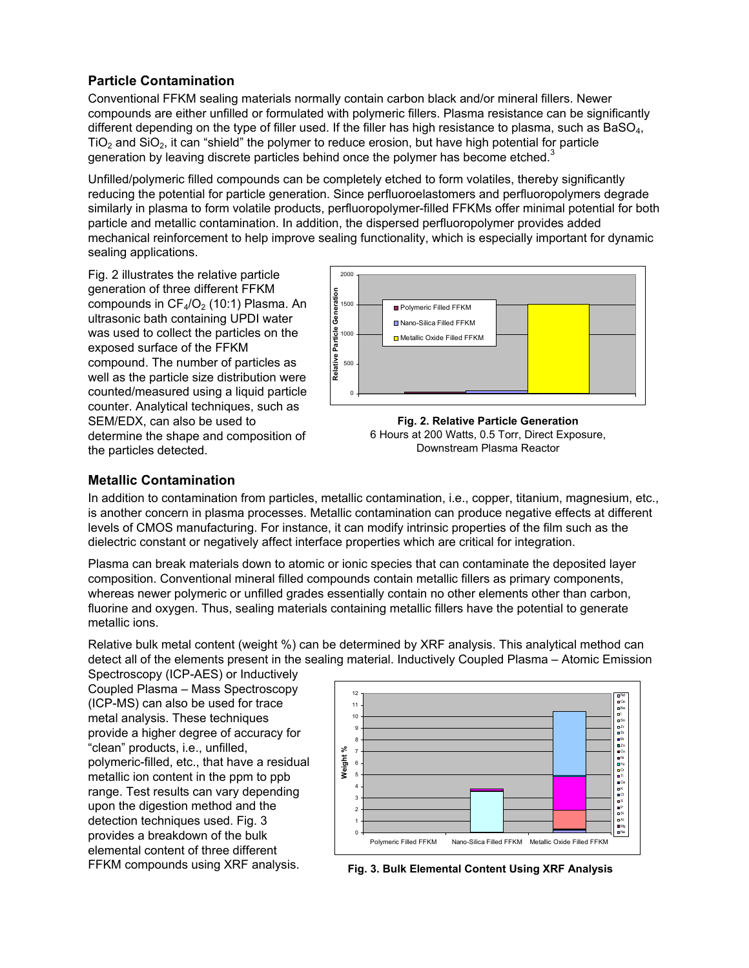# **Particle Contamination**

Conventional FFKM sealing materials normally contain carbon black and/or mineral fillers. Newer compounds are either unfilled or formulated with polymeric fillers. Plasma resistance can be significantly different depending on the type of filler used. If the filler has high resistance to plasma, such as BaSO<sub>4</sub>,  $TiO<sub>2</sub>$  and  $SiO<sub>2</sub>$ , it can "shield" the polymer to reduce erosion, but have high potential for particle generation by leaving discrete particles behind once the polymer has become etched.<sup>3</sup>

Unfilled/polymeric filled compounds can be completely etched to form volatiles, thereby significantly reducing the potential for particle generation. Since perfluoroelastomers and perfluoropolymers degrade similarly in plasma to form volatile products, perfluoropolymer-filled FFKMs offer minimal potential for both particle and metallic contamination. In addition, the dispersed perfluoropolymer provides added mechanical reinforcement to help improve sealing functionality, which is especially important for dynamic sealing applications.

Fig. 2 illustrates the relative particle generation of three different FFKM compounds in  $CF<sub>4</sub>/O<sub>2</sub>$  (10:1) Plasma. An ultrasonic bath containing UPDI water was used to collect the particles on the exposed surface of the FFKM compound. The number of particles as well as the particle size distribution were counted/measured using a liquid particle counter. Analytical techniques, such as SEM/EDX, can also be used to determine the shape and composition of the particles detected.



**Fig. 2. Relative Particle Generation** 6 Hours at 200 Watts, 0.5 Torr, Direct Exposure, Downstream Plasma Reactor

## **Metallic Contamination**

In addition to contamination from particles, metallic contamination, i.e., copper, titanium, magnesium, etc., is another concern in plasma processes. Metallic contamination can produce negative effects at different levels of CMOS manufacturing. For instance, it can modify intrinsic properties of the film such as the dielectric constant or negatively affect interface properties which are critical for integration.

Plasma can break materials down to atomic or ionic species that can contaminate the deposited layer composition. Conventional mineral filled compounds contain metallic fillers as primary components, whereas newer polymeric or unfilled grades essentially contain no other elements other than carbon, fluorine and oxygen. Thus, sealing materials containing metallic fillers have the potential to generate metallic ions.

Relative bulk metal content (weight %) can be determined by XRF analysis. This analytical method can detect all of the elements present in the sealing material. Inductively Coupled Plasma – Atomic Emission

Spectroscopy (ICP-AES) or Inductively Coupled Plasma – Mass Spectroscopy (ICP-MS) can also be used for trace metal analysis. These techniques provide a higher degree of accuracy for "clean" products, i.e., unfilled, polymeric-filled, etc., that have a residual metallic ion content in the ppm to ppb range. Test results can vary depending upon the digestion method and the detection techniques used. Fig. 3 provides a breakdown of the bulk elemental content of three different



FFKM compounds using XRF analysis. **Fig. 3. Bulk Elemental Content Using XRF Analysis**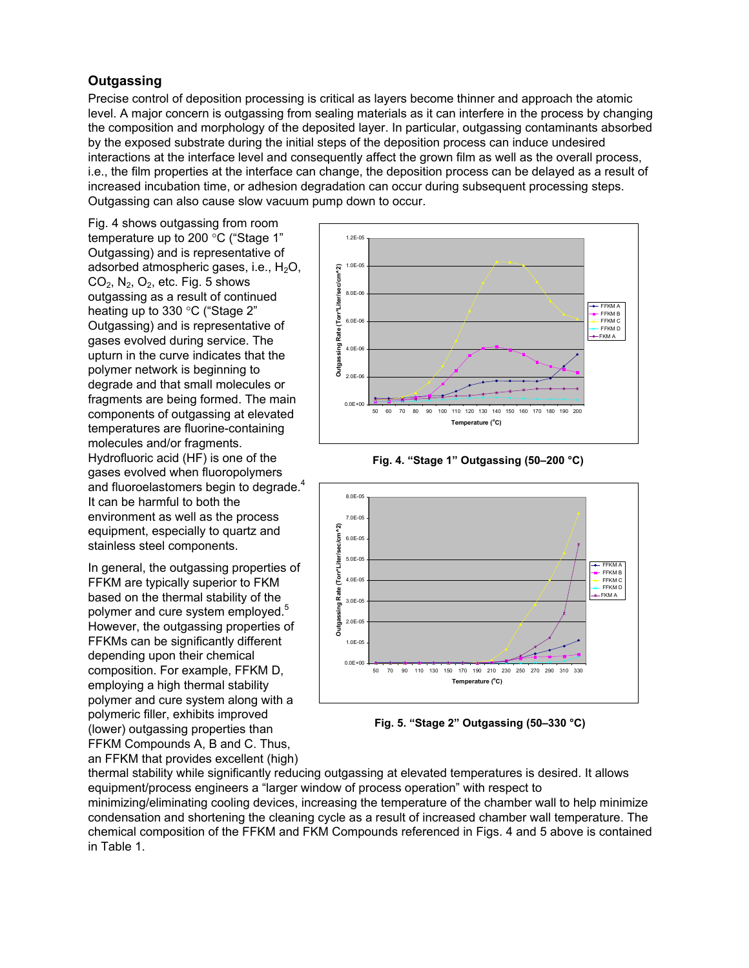## **Outgassing**

Precise control of deposition processing is critical as layers become thinner and approach the atomic level. A major concern is outgassing from sealing materials as it can interfere in the process by changing the composition and morphology of the deposited layer. In particular, outgassing contaminants absorbed by the exposed substrate during the initial steps of the deposition process can induce undesired interactions at the interface level and consequently affect the grown film as well as the overall process, i.e., the film properties at the interface can change, the deposition process can be delayed as a result of increased incubation time, or adhesion degradation can occur during subsequent processing steps. Outgassing can also cause slow vacuum pump down to occur.

Fig. 4 shows outgassing from room temperature up to 200 $\degree$ C ("Stage 1" Outgassing) and is representative of adsorbed atmospheric gases, i.e.,  $H_2O$ ,  $CO<sub>2</sub>$ , N<sub>2</sub>, O<sub>2</sub>, etc. Fig. 5 shows outgassing as a result of continued heating up to 330 $\degree$ C ("Stage 2" Outgassing) and is representative of gases evolved during service. The upturn in the curve indicates that the polymer network is beginning to degrade and that small molecules or fragments are being formed. The main components of outgassing at elevated temperatures are fluorine-containing molecules and/or fragments. Hydrofluoric acid (HF) is one of the gases evolved when fluoropolymers and fluoroelastomers begin to degrade.<sup>4</sup> It can be harmful to both the environment as well as the process equipment, especially to quartz and stainless steel components.

In general, the outgassing properties of FFKM are typically superior to FKM based on the thermal stability of the polymer and cure system employed.<sup>5</sup> However, the outgassing properties of FFKMs can be significantly different depending upon their chemical composition. For example, FFKM D, employing a high thermal stability polymer and cure system along with a polymeric filler, exhibits improved (lower) outgassing properties than FFKM Compounds A, B and C. Thus, an FFKM that provides excellent (high)



**Fig. 4. "Stage 1" Outgassing (50–200 °C)** 



**Fig. 5. "Stage 2" Outgassing (50–330 °C)** 

thermal stability while significantly reducing outgassing at elevated temperatures is desired. It allows equipment/process engineers a "larger window of process operation" with respect to minimizing/eliminating cooling devices, increasing the temperature of the chamber wall to help minimize condensation and shortening the cleaning cycle as a result of increased chamber wall temperature. The chemical composition of the FFKM and FKM Compounds referenced in Figs. 4 and 5 above is contained in Table 1.